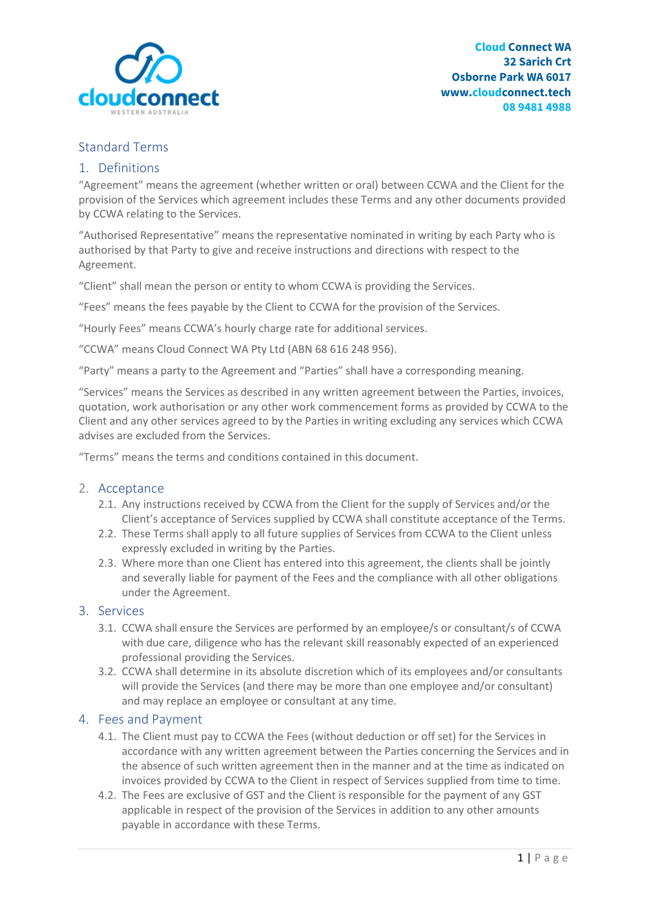

# Standard Terms

### 1. Definitions

"Agreement" means the agreement (whether written or oral) between CCWA and the Client for the provision of the Services which agreement includes these Terms and any other documents provided by CCWA relating to the Services.

"Authorised Representative" means the representative nominated in writing by each Party who is authorised by that Party to give and receive instructions and directions with respect to the Agreement.

"Client" shall mean the person or entity to whom CCWA is providing the Services.

"Fees" means the fees payable by the Client to CCWA for the provision of the Services.

"Hourly Fees" means CCWA's hourly charge rate for additional services.

"CCWA" means Cloud Connect WA Pty Ltd (ABN 68 616 248 956).

"Party" means a party to the Agreement and "Parties" shall have a corresponding meaning.

"Services" means the Services as described in any written agreement between the Parties, invoices, quotation, work authorisation or any other work commencement forms as provided by CCWA to the Client and any other services agreed to by the Parties in writing excluding any services which CCWA advises are excluded from the Services.

"Terms" means the terms and conditions contained in this document.

### 2. Acceptance

- 2.1. Any instructions received by CCWA from the Client for the supply of Services and/or the Client's acceptance of Services supplied by CCWA shall constitute acceptance of the Terms.
- 2.2. These Terms shall apply to all future supplies of Services from CCWA to the Client unless expressly excluded in writing by the Parties.
- 2.3. Where more than one Client has entered into this agreement, the clients shall be jointly and severally liable for payment of the Fees and the compliance with all other obligations under the Agreement.

### 3. Services

- 3.1. CCWA shall ensure the Services are performed by an employee/s or consultant/s of CCWA with due care, diligence who has the relevant skill reasonably expected of an experienced professional providing the Services.
- 3.2. CCWA shall determine in its absolute discretion which of its employees and/or consultants will provide the Services (and there may be more than one employee and/or consultant) and may replace an employee or consultant at any time.

### 4. Fees and Payment

- 4.1. The Client must pay to CCWA the Fees (without deduction or off set) for the Services in accordance with any written agreement between the Parties concerning the Services and in the absence of such written agreement then in the manner and at the time as indicated on invoices provided by CCWA to the Client in respect of Services supplied from time to time.
- 4.2. The Fees are exclusive of GST and the Client is responsible for the payment of any GST applicable in respect of the provision of the Services in addition to any other amounts payable in accordance with these Terms.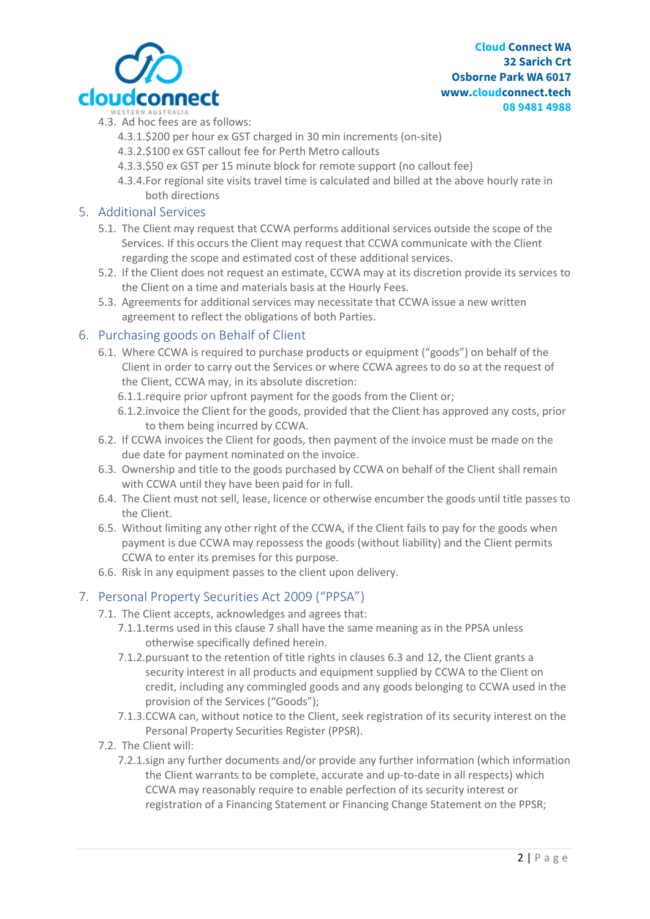

- 4.3. Ad hoc fees are as follows:
	- 4.3.1.\$200 per hour ex GST charged in 30 min increments (on-site)
	- 4.3.2.\$100 ex GST callout fee for Perth Metro callouts
	- 4.3.3.\$50 ex GST per 15 minute block for remote support (no callout fee)
	- 4.3.4.For regional site visits travel time is calculated and billed at the above hourly rate in both directions

## 5. Additional Services

- 5.1. The Client may request that CCWA performs additional services outside the scope of the Services. If this occurs the Client may request that CCWA communicate with the Client regarding the scope and estimated cost of these additional services.
- 5.2. If the Client does not request an estimate, CCWA may at its discretion provide its services to the Client on a time and materials basis at the Hourly Fees.
- 5.3. Agreements for additional services may necessitate that CCWA issue a new written agreement to reflect the obligations of both Parties.

# 6. Purchasing goods on Behalf of Client

- 6.1. Where CCWA is required to purchase products or equipment ("goods") on behalf of the Client in order to carry out the Services or where CCWA agrees to do so at the request of the Client, CCWA may, in its absolute discretion:
	- 6.1.1.require prior upfront payment for the goods from the Client or;
	- 6.1.2.invoice the Client for the goods, provided that the Client has approved any costs, prior to them being incurred by CCWA.
- 6.2. If CCWA invoices the Client for goods, then payment of the invoice must be made on the due date for payment nominated on the invoice.
- 6.3. Ownership and title to the goods purchased by CCWA on behalf of the Client shall remain with CCWA until they have been paid for in full.
- 6.4. The Client must not sell, lease, licence or otherwise encumber the goods until title passes to the Client.
- 6.5. Without limiting any other right of the CCWA, if the Client fails to pay for the goods when payment is due CCWA may repossess the goods (without liability) and the Client permits CCWA to enter its premises for this purpose.
- 6.6. Risk in any equipment passes to the client upon delivery.

# 7. Personal Property Securities Act 2009 ("PPSA")

- 7.1. The Client accepts, acknowledges and agrees that:
	- 7.1.1.terms used in this clause 7 shall have the same meaning as in the PPSA unless otherwise specifically defined herein.
	- 7.1.2.pursuant to the retention of title rights in clauses 6.3 and 12, the Client grants a security interest in all products and equipment supplied by CCWA to the Client on credit, including any commingled goods and any goods belonging to CCWA used in the provision of the Services ("Goods");
	- 7.1.3.CCWA can, without notice to the Client, seek registration of its security interest on the Personal Property Securities Register (PPSR).
- 7.2. The Client will:
	- 7.2.1.sign any further documents and/or provide any further information (which information the Client warrants to be complete, accurate and up-to-date in all respects) which CCWA may reasonably require to enable perfection of its security interest or registration of a Financing Statement or Financing Change Statement on the PPSR;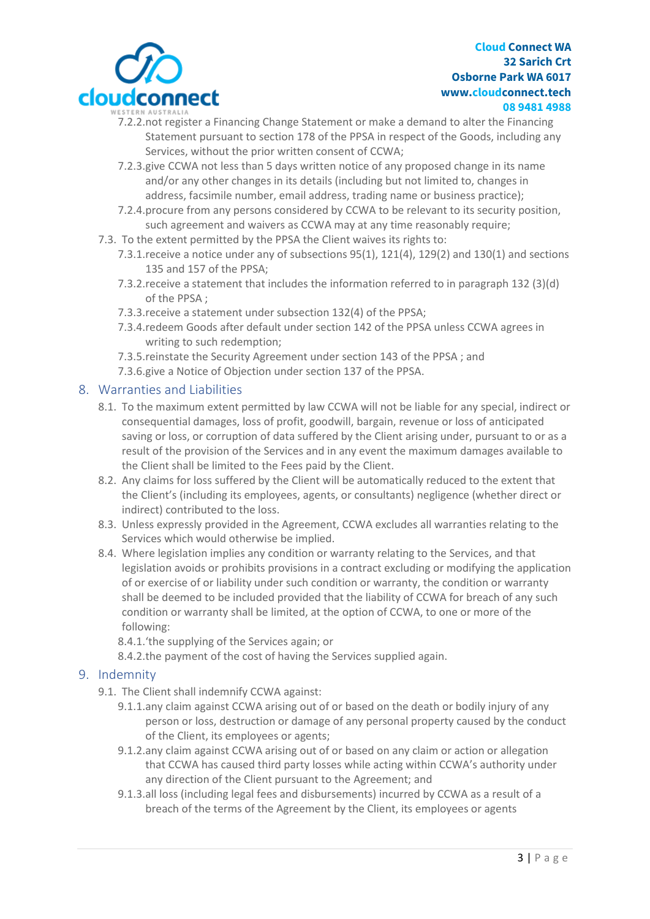

- 7.2.2.not register a Financing Change Statement or make a demand to alter the Financing Statement pursuant to section 178 of the PPSA in respect of the Goods, including any Services, without the prior written consent of CCWA;
- 7.2.3.give CCWA not less than 5 days written notice of any proposed change in its name and/or any other changes in its details (including but not limited to, changes in address, facsimile number, email address, trading name or business practice);
- 7.2.4.procure from any persons considered by CCWA to be relevant to its security position, such agreement and waivers as CCWA may at any time reasonably require;
- 7.3. To the extent permitted by the PPSA the Client waives its rights to:
	- 7.3.1.receive a notice under any of subsections 95(1), 121(4), 129(2) and 130(1) and sections 135 and 157 of the PPSA;
	- 7.3.2.receive a statement that includes the information referred to in paragraph 132 (3)(d) of the PPSA ;
	- 7.3.3.receive a statement under subsection 132(4) of the PPSA;
	- 7.3.4.redeem Goods after default under section 142 of the PPSA unless CCWA agrees in writing to such redemption;
	- 7.3.5.reinstate the Security Agreement under section 143 of the PPSA ; and
	- 7.3.6.give a Notice of Objection under section 137 of the PPSA.

# 8. Warranties and Liabilities

- 8.1. To the maximum extent permitted by law CCWA will not be liable for any special, indirect or consequential damages, loss of profit, goodwill, bargain, revenue or loss of anticipated saving or loss, or corruption of data suffered by the Client arising under, pursuant to or as a result of the provision of the Services and in any event the maximum damages available to the Client shall be limited to the Fees paid by the Client.
- 8.2. Any claims for loss suffered by the Client will be automatically reduced to the extent that the Client's (including its employees, agents, or consultants) negligence (whether direct or indirect) contributed to the loss.
- 8.3. Unless expressly provided in the Agreement, CCWA excludes all warranties relating to the Services which would otherwise be implied.
- 8.4. Where legislation implies any condition or warranty relating to the Services, and that legislation avoids or prohibits provisions in a contract excluding or modifying the application of or exercise of or liability under such condition or warranty, the condition or warranty shall be deemed to be included provided that the liability of CCWA for breach of any such condition or warranty shall be limited, at the option of CCWA, to one or more of the following:

8.4.1.'the supplying of the Services again; or

8.4.2.the payment of the cost of having the Services supplied again.

# 9. Indemnity

- 9.1. The Client shall indemnify CCWA against:
	- 9.1.1.any claim against CCWA arising out of or based on the death or bodily injury of any person or loss, destruction or damage of any personal property caused by the conduct of the Client, its employees or agents;
	- 9.1.2.any claim against CCWA arising out of or based on any claim or action or allegation that CCWA has caused third party losses while acting within CCWA's authority under any direction of the Client pursuant to the Agreement; and
	- 9.1.3.all loss (including legal fees and disbursements) incurred by CCWA as a result of a breach of the terms of the Agreement by the Client, its employees or agents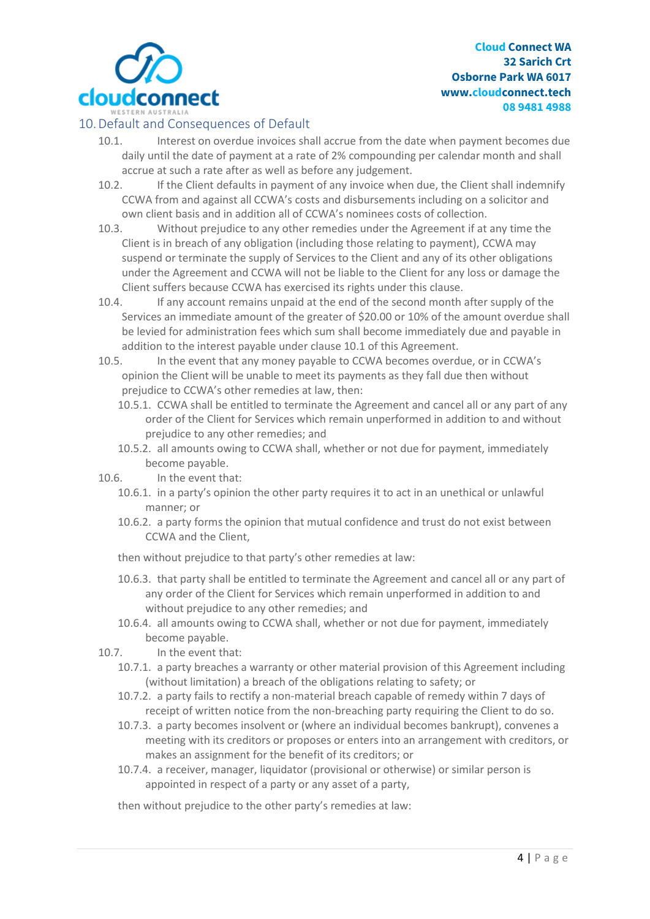

# 10.Default and Consequences of Default

- 10.1. Interest on overdue invoices shall accrue from the date when payment becomes due daily until the date of payment at a rate of 2% compounding per calendar month and shall accrue at such a rate after as well as before any judgement.
- 10.2. If the Client defaults in payment of any invoice when due, the Client shall indemnify CCWA from and against all CCWA's costs and disbursements including on a solicitor and own client basis and in addition all of CCWA's nominees costs of collection.
- 10.3. Without prejudice to any other remedies under the Agreement if at any time the Client is in breach of any obligation (including those relating to payment), CCWA may suspend or terminate the supply of Services to the Client and any of its other obligations under the Agreement and CCWA will not be liable to the Client for any loss or damage the Client suffers because CCWA has exercised its rights under this clause.
- 10.4. If any account remains unpaid at the end of the second month after supply of the Services an immediate amount of the greater of \$20.00 or 10% of the amount overdue shall be levied for administration fees which sum shall become immediately due and payable in addition to the interest payable under clause 10.1 of this Agreement.
- 10.5. In the event that any money payable to CCWA becomes overdue, or in CCWA's opinion the Client will be unable to meet its payments as they fall due then without prejudice to CCWA's other remedies at law, then:
	- 10.5.1. CCWA shall be entitled to terminate the Agreement and cancel all or any part of any order of the Client for Services which remain unperformed in addition to and without prejudice to any other remedies; and
	- 10.5.2. all amounts owing to CCWA shall, whether or not due for payment, immediately become payable.
- 10.6. In the event that:
	- 10.6.1. in a party's opinion the other party requires it to act in an unethical or unlawful manner; or
	- 10.6.2. a party forms the opinion that mutual confidence and trust do not exist between CCWA and the Client,

then without prejudice to that party's other remedies at law:

- 10.6.3. that party shall be entitled to terminate the Agreement and cancel all or any part of any order of the Client for Services which remain unperformed in addition to and without prejudice to any other remedies; and
- 10.6.4. all amounts owing to CCWA shall, whether or not due for payment, immediately become payable.

10.7. In the event that:

- 10.7.1. a party breaches a warranty or other material provision of this Agreement including (without limitation) a breach of the obligations relating to safety; or
- 10.7.2. a party fails to rectify a non-material breach capable of remedy within 7 days of receipt of written notice from the non-breaching party requiring the Client to do so.
- 10.7.3. a party becomes insolvent or (where an individual becomes bankrupt), convenes a meeting with its creditors or proposes or enters into an arrangement with creditors, or makes an assignment for the benefit of its creditors; or
- 10.7.4. a receiver, manager, liquidator (provisional or otherwise) or similar person is appointed in respect of a party or any asset of a party,

then without prejudice to the other party's remedies at law: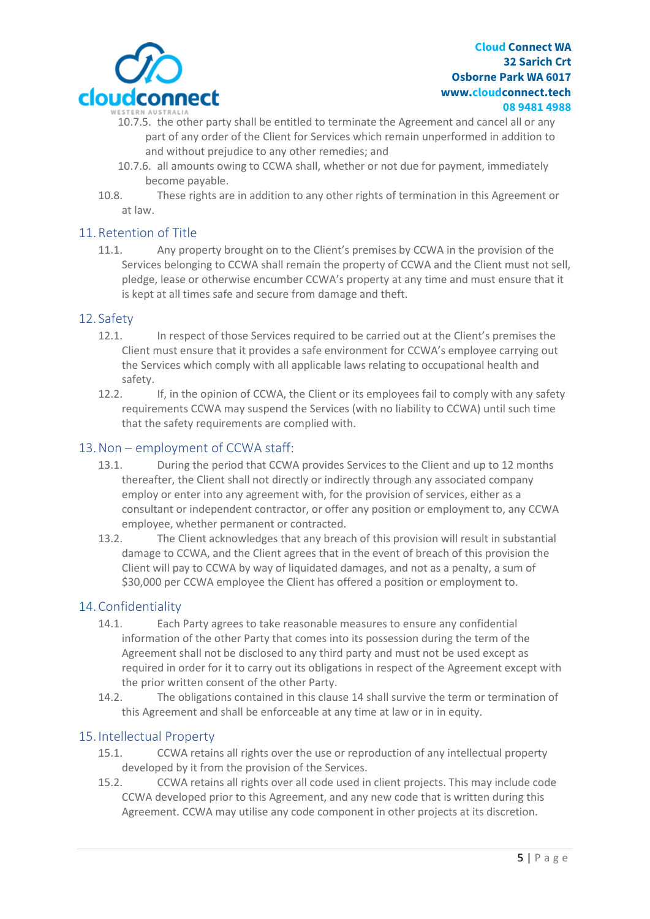

- 10.7.5. the other party shall be entitled to terminate the Agreement and cancel all or any part of any order of the Client for Services which remain unperformed in addition to and without prejudice to any other remedies; and
- 10.7.6. all amounts owing to CCWA shall, whether or not due for payment, immediately become payable.
- 10.8. These rights are in addition to any other rights of termination in this Agreement or at law.

## 11.Retention of Title

11.1. Any property brought on to the Client's premises by CCWA in the provision of the Services belonging to CCWA shall remain the property of CCWA and the Client must not sell, pledge, lease or otherwise encumber CCWA's property at any time and must ensure that it is kept at all times safe and secure from damage and theft.

### 12. Safety

- 12.1. In respect of those Services required to be carried out at the Client's premises the Client must ensure that it provides a safe environment for CCWA's employee carrying out the Services which comply with all applicable laws relating to occupational health and safety.
- 12.2. If, in the opinion of CCWA, the Client or its employees fail to comply with any safety requirements CCWA may suspend the Services (with no liability to CCWA) until such time that the safety requirements are complied with.

## 13.Non – employment of CCWA staff:

- 13.1. During the period that CCWA provides Services to the Client and up to 12 months thereafter, the Client shall not directly or indirectly through any associated company employ or enter into any agreement with, for the provision of services, either as a consultant or independent contractor, or offer any position or employment to, any CCWA employee, whether permanent or contracted.
- 13.2. The Client acknowledges that any breach of this provision will result in substantial damage to CCWA, and the Client agrees that in the event of breach of this provision the Client will pay to CCWA by way of liquidated damages, and not as a penalty, a sum of \$30,000 per CCWA employee the Client has offered a position or employment to.

# 14.Confidentiality

- 14.1. Each Party agrees to take reasonable measures to ensure any confidential information of the other Party that comes into its possession during the term of the Agreement shall not be disclosed to any third party and must not be used except as required in order for it to carry out its obligations in respect of the Agreement except with the prior written consent of the other Party.
- 14.2. The obligations contained in this clause 14 shall survive the term or termination of this Agreement and shall be enforceable at any time at law or in in equity.

### 15. Intellectual Property

- 15.1. CCWA retains all rights over the use or reproduction of any intellectual property developed by it from the provision of the Services.
- 15.2. CCWA retains all rights over all code used in client projects. This may include code CCWA developed prior to this Agreement, and any new code that is written during this Agreement. CCWA may utilise any code component in other projects at its discretion.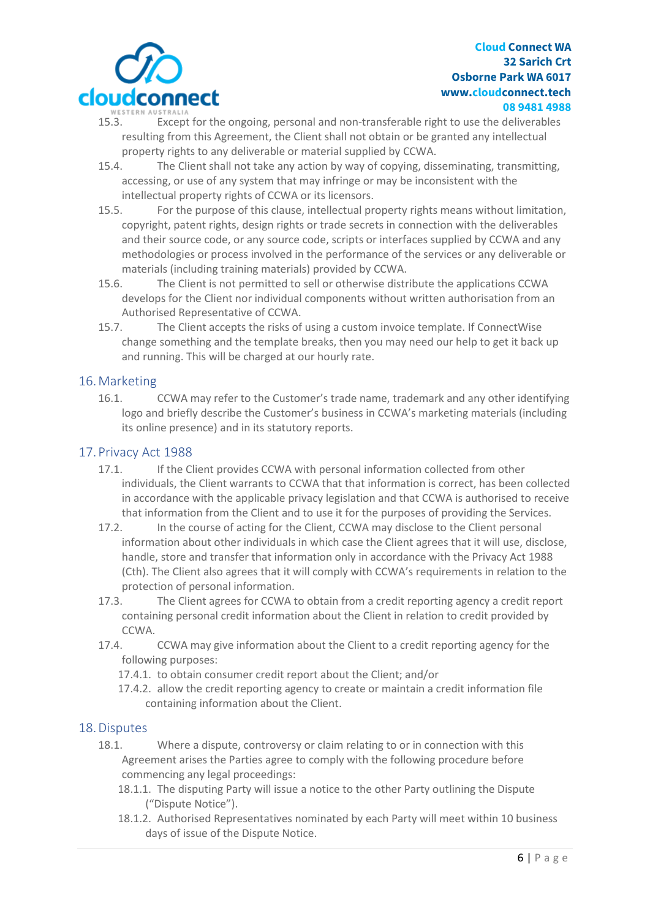

- 15.3. Except for the ongoing, personal and non-transferable right to use the deliverables resulting from this Agreement, the Client shall not obtain or be granted any intellectual property rights to any deliverable or material supplied by CCWA.
- 15.4. The Client shall not take any action by way of copying, disseminating, transmitting, accessing, or use of any system that may infringe or may be inconsistent with the intellectual property rights of CCWA or its licensors.
- 15.5. For the purpose of this clause, intellectual property rights means without limitation, copyright, patent rights, design rights or trade secrets in connection with the deliverables and their source code, or any source code, scripts or interfaces supplied by CCWA and any methodologies or process involved in the performance of the services or any deliverable or materials (including training materials) provided by CCWA.
- 15.6. The Client is not permitted to sell or otherwise distribute the applications CCWA develops for the Client nor individual components without written authorisation from an Authorised Representative of CCWA.
- 15.7. The Client accepts the risks of using a custom invoice template. If ConnectWise change something and the template breaks, then you may need our help to get it back up and running. This will be charged at our hourly rate.

## 16.Marketing

16.1. CCWA may refer to the Customer's trade name, trademark and any other identifying logo and briefly describe the Customer's business in CCWA's marketing materials (including its online presence) and in its statutory reports.

## 17.Privacy Act 1988

- 17.1. If the Client provides CCWA with personal information collected from other individuals, the Client warrants to CCWA that that information is correct, has been collected in accordance with the applicable privacy legislation and that CCWA is authorised to receive that information from the Client and to use it for the purposes of providing the Services.
- 17.2. In the course of acting for the Client, CCWA may disclose to the Client personal information about other individuals in which case the Client agrees that it will use, disclose, handle, store and transfer that information only in accordance with the Privacy Act 1988 (Cth). The Client also agrees that it will comply with CCWA's requirements in relation to the protection of personal information.
- 17.3. The Client agrees for CCWA to obtain from a credit reporting agency a credit report containing personal credit information about the Client in relation to credit provided by CCWA.
- 17.4. CCWA may give information about the Client to a credit reporting agency for the following purposes:
	- 17.4.1. to obtain consumer credit report about the Client; and/or
	- 17.4.2. allow the credit reporting agency to create or maintain a credit information file containing information about the Client.

### 18.Disputes

- 18.1. Where a dispute, controversy or claim relating to or in connection with this Agreement arises the Parties agree to comply with the following procedure before commencing any legal proceedings:
	- 18.1.1. The disputing Party will issue a notice to the other Party outlining the Dispute ("Dispute Notice").
	- 18.1.2. Authorised Representatives nominated by each Party will meet within 10 business days of issue of the Dispute Notice.